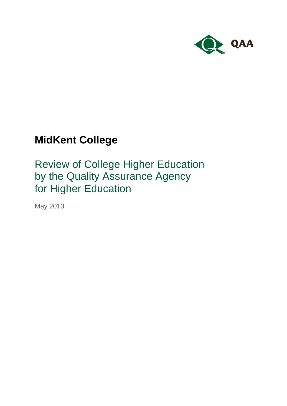

# **MidKent College**

Review of College Higher Education by the Quality Assurance Agency for Higher Education

May 2013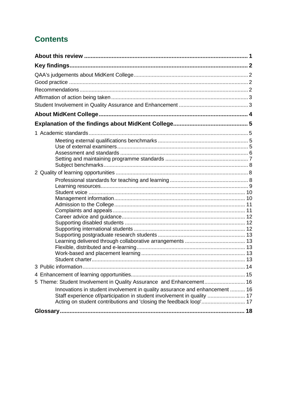## **Contents**

| 5 Theme: Student Involvement in Quality Assurance and Enhancement 16<br>Innovations in student involvement in quality assurance and enhancement  16<br>Staff experience of/participation in student involvement in quality  17 |  |
|--------------------------------------------------------------------------------------------------------------------------------------------------------------------------------------------------------------------------------|--|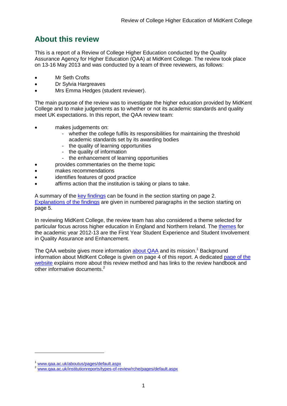## <span id="page-2-0"></span>**About this review**

This is a report of a Review of College Higher Education conducted by the Quality Assurance Agency for Higher Education (QAA) at MidKent College. The review took place on 13-16 May 2013 and was conducted by a team of three reviewers, as follows:

- Mr Seth Crofts
- Dr Sylvia Hargreaves
- Mrs Emma Hedges (student reviewer).

The main purpose of the review was to investigate the higher education provided by MidKent College and to make judgements as to whether or not its academic standards and quality meet UK expectations. In this report, the QAA review team:

- makes judgements on:
	- whether the college fulfils its responsibilities for maintaining the threshold academic standards set by its awarding bodies
	- the quality of learning opportunities
	- the quality of information
	- the enhancement of learning opportunities
- provides commentaries on the theme topic
- makes recommendations
- identifies features of good practice
- affirms action that the institution is taking or plans to take.

A summary of the [key findings](#page-3-0) can be found in the section starting on page 2. [Explanations of the findings](#page-6-0) are given in numbered paragraphs in the section starting on page 5.

In reviewing MidKent College, the review team has also considered a theme selected for particular focus across higher education in England and Northern Ireland. The [themes](#page-4-1) for the academic year 2012-13 are the First Year Student Experience and Student Involvement in Quality Assurance and Enhancement.

The QAA website gives more information **about QAA** and its mission.<sup>1</sup> Background information about MidKent College is given on page 4 of this report. A dedicated [page of the](http://www.qaa.ac.uk/InstitutionReports/types-of-review/RCHE/Pages/default.aspx)  [website](http://www.qaa.ac.uk/InstitutionReports/types-of-review/RCHE/Pages/default.aspx) explains more about this review method and has links to the review handbook and other informative documents.<sup>2</sup>

-

[www.qaa.ac.uk/aboutus/pages/default.aspx](http://www.qaa.ac.uk/aboutus/pages/default.aspx)

<sup>2</sup> [www.qaa.ac.uk/institutionreports/types-of-review/rche/pages/default.aspx](http://www.qaa.ac.uk/institutionreports/types-of-review/rche/pages/default.aspx)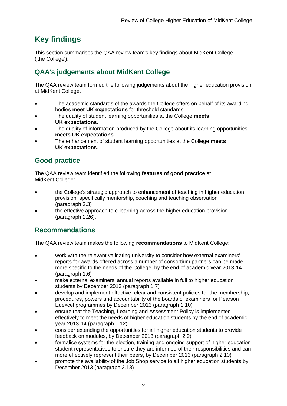## <span id="page-3-0"></span>**Key findings**

This section summarises the QAA review team's key findings about MidKent College ('the College').

## <span id="page-3-1"></span>**QAA's judgements about MidKent College**

The QAA review team formed the following judgements about the higher education provision at MidKent College.

- The academic standards of the awards the College offers on behalf of its awarding bodies **meet UK expectations** for threshold standards.
- The quality of student learning opportunities at the College **meets UK expectations**.
- The quality of information produced by the College about its learning opportunities **meets UK expectations**.
- The enhancement of student learning opportunities at the College **meets UK expectations**.

## <span id="page-3-2"></span>**Good practice**

The QAA review team identified the following **features of good practice** at MidKent College:

- the College's strategic approach to enhancement of teaching in higher education provision, specifically mentorship, coaching and teaching observation (paragraph 2.3)
- the effective approach to e-learning across the higher education provision (paragraph 2.26).

## <span id="page-3-3"></span>**Recommendations**

The QAA review team makes the following **recommendations** to MidKent College:

- work with the relevant validating university to consider how external examiners' reports for awards offered across a number of consortium partners can be made more specific to the needs of the College, by the end of academic year 2013-14 (paragraph 1.6)
- make external examiners' annual reports available in full to higher education students by December 2013 (paragraph 1.7)
- develop and implement effective, clear and consistent policies for the membership, procedures, powers and accountability of the boards of examiners for Pearson Edexcel programmes by December 2013 (paragraph 1.10)
- ensure that the Teaching, Learning and Assessment Policy is implemented effectively to meet the needs of higher education students by the end of academic year 2013-14 (paragraph 1.12)
- consider extending the opportunities for all higher education students to provide feedback on modules, by December 2013 (paragraph 2.9)
- formalise systems for the election, training and ongoing support of higher education student representatives to ensure they are informed of their responsibilities and can more effectively represent their peers, by December 2013 (paragraph 2.10)
- promote the availability of the Job Shop service to all higher education students by December 2013 (paragraph 2.18)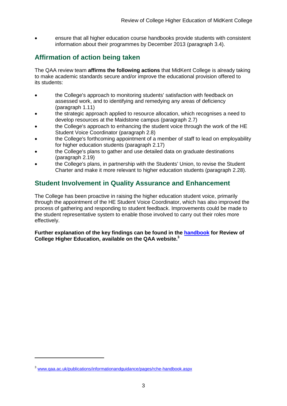ensure that all higher education course handbooks provide students with consistent information about their programmes by December 2013 (paragraph 3.4).

## <span id="page-4-0"></span>**Affirmation of action being taken**

The QAA review team **affirms the following actions** that MidKent College is already taking to make academic standards secure and/or improve the educational provision offered to its students:

- the College's approach to monitoring students' satisfaction with feedback on assessed work, and to identifying and remedying any areas of deficiency (paragraph 1.11)
- the strategic approach applied to resource allocation, which recognises a need to develop resources at the Maidstone campus (paragraph 2.7)
- the College's approach to enhancing the student voice through the work of the HE Student Voice Coordinator (paragraph 2.8)
- the College's forthcoming appointment of a member of staff to lead on employability for higher education students (paragraph 2.17)
- the College's plans to gather and use detailed data on graduate destinations (paragraph 2.19)
- the College's plans, in partnership with the Students' Union, to revise the Student Charter and make it more relevant to higher education students (paragraph 2.28).

## <span id="page-4-1"></span>**Student Involvement in Quality Assurance and Enhancement**

The College has been proactive in raising the higher education student voice, primarily through the appointment of the HE Student Voice Coordinator, which has also improved the process of gathering and responding to student feedback. Improvements could be made to the student representative system to enable those involved to carry out their roles more effectively.

**Further explanation of the key findings can be found in the [handbook](http://www.qaa.ac.uk/Publications/InformationAndGuidance/Pages/RCHE-handbook.aspx) for Review of College Higher Education, available on the QAA website. 3**

-

<sup>3</sup> [www.qaa.ac.uk/publications/informationandguidance/pages/rche-handbook.aspx](http://www.qaa.ac.uk/publications/informationandguidance/pages/rche-handbook.aspx)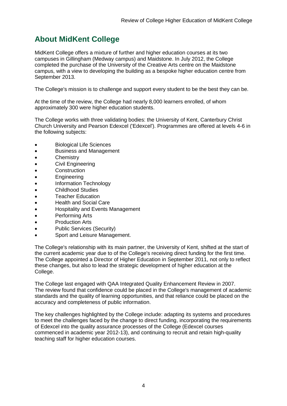## <span id="page-5-0"></span>**About MidKent College**

MidKent College offers a mixture of further and higher education courses at its two campuses in Gillingham (Medway campus) and Maidstone. In July 2012, the College completed the purchase of the University of the Creative Arts centre on the Maidstone campus, with a view to developing the building as a bespoke higher education centre from September 2013.

The College's mission is to challenge and support every student to be the best they can be.

At the time of the review, the College had nearly 8,000 learners enrolled, of whom approximately 300 were higher education students.

The College works with three validating bodies: the University of Kent, Canterbury Christ Church University and Pearson Edexcel ('Edexcel'). Programmes are offered at levels 4-6 in the following subjects:

- Biological Life Sciences
- Business and Management
- **•** Chemistry
- Civil Engineering
- Construction
- **•** Engineering
- Information Technology
- Childhood Studies
- Teacher Education
- Health and Social Care
- Hospitality and Events Management
- Performing Arts
- Production Arts
- Public Services (Security)
- Sport and Leisure Management.

The College's relationship with its main partner, the University of Kent, shifted at the start of the current academic year due to of the College's receiving direct funding for the first time. The College appointed a Director of Higher Education in September 2011, not only to reflect these changes, but also to lead the strategic development of higher education at the College.

The College last engaged with QAA Integrated Quality Enhancement Review in 2007. The review found that confidence could be placed in the College's management of academic standards and the quality of learning opportunities, and that reliance could be placed on the accuracy and completeness of public information.

The key challenges highlighted by the College include: adapting its systems and procedures to meet the challenges faced by the change to direct funding, incorporating the requirements of Edexcel into the quality assurance processes of the College (Edexcel courses commenced in academic year 2012-13), and continuing to recruit and retain high-quality teaching staff for higher education courses.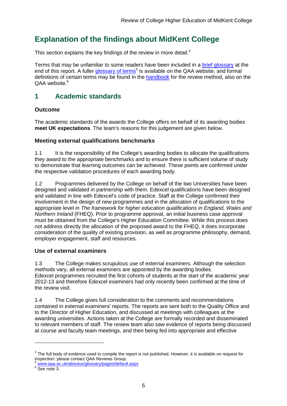## <span id="page-6-0"></span>**Explanation of the findings about MidKent College**

This section explains the key findings of the review in more detail.<sup>4</sup>

Terms that may be unfamiliar to some readers have been included in a [brief glossary](#page-18-2) at the end of this report. A fuller [glossary of terms](http://www.qaa.ac.uk/AboutUs/glossary/Pages/default.aspx)<sup>5</sup> is available on the QAA website, and formal definitions of certain terms may be found in the [handbook](http://www.qaa.ac.uk/publications/informationandguidance/pages/rche-handbook.aspx) for the review method, also on the  $OAA$  website. $6$ 

## <span id="page-6-1"></span>**1 Academic standards**

#### **Outcome**

The academic standards of the awards the College offers on behalf of its awarding bodies **meet UK expectations**. The team's reasons for this judgement are given below.

#### <span id="page-6-2"></span>**Meeting external qualifications benchmarks**

1.1 It is the responsibility of the College's awarding bodies to allocate the qualifications they award to the appropriate benchmarks and to ensure there is sufficient volume of study to demonstrate that learning outcomes can be achieved. These points are confirmed under the respective validation procedures of each awarding body.

1.2 Programmes delivered by the College on behalf of the two Universities have been designed and validated in partnership with them. Edexcel qualifications have been designed and validated in line with Edexcel's code of practice. Staff at the College confirmed their involvement in the design of new programmes and in the allocation of qualifications to the appropriate level in *The framework for higher education qualifications in England, Wales and Northern Ireland* (FHEQ). Prior to programme approval, an initial business case approval must be obtained from the College's Higher Education Committee. While this process does not address directly the allocation of the proposed award to the FHEQ, it does incorporate consideration of the quality of existing provision, as well as programme philosophy, demand, employer engagement, staff and resources.

#### <span id="page-6-3"></span>**Use of external examiners**

1.3 The College makes scrupulous use of external examiners. Although the selection methods vary, all external examiners are appointed by the awarding bodies. Edexcel programmes recruited the first cohorts of students at the start of the academic year 2012-13 and therefore Edexcel examiners had only recently been confirmed at the time of the review visit.

1.4 The College gives full consideration to the comments and recommendations contained in external examiners' reports. The reports are sent both to the Quality Office and to the Director of Higher Education, and discussed at meetings with colleagues at the awarding universities. Actions taken at the College are formally recorded and disseminated to relevant members of staff. The review team also saw evidence of reports being discussed at course and faculty team meetings, and then being fed into appropriate and effective

 $\overline{a}$ 

<sup>&</sup>lt;sup>4</sup> The full body of evidence used to compile the report is not published. However, it is available on request for inspection: please contact QAA Reviews Group.

<sup>5</sup> [www.qaa.ac.uk/aboutus/glossary/pages/default.aspx](http://www.qaa.ac.uk/aboutus/glossary/pages/default.aspx)

<sup>6</sup> See note 3.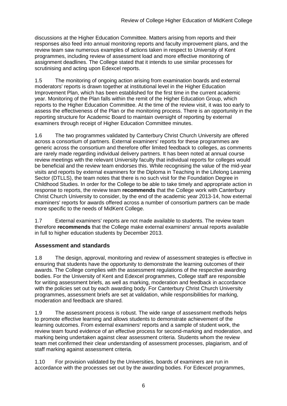discussions at the Higher Education Committee. Matters arising from reports and their responses also feed into annual monitoring reports and faculty improvement plans, and the review team saw numerous examples of actions taken in respect to University of Kent programmes, including review of assessment load and more effective monitoring of assignment deadlines. The College stated that it intends to use similar processes for scrutinising and acting upon Edexcel reports.

1.5 The monitoring of ongoing action arising from examination boards and external moderators' reports is drawn together at institutional level in the Higher Education Improvement Plan, which has been established for the first time in the current academic year. Monitoring of the Plan falls within the remit of the Higher Education Group, which reports to the Higher Education Committee. At the time of the review visit, it was too early to assess the effectiveness of the Plan or the monitoring process. There is an opportunity in the reporting structure for Academic Board to maintain oversight of reporting by external examiners through receipt of Higher Education Committee minutes.

1.6 The two programmes validated by Canterbury Christ Church University are offered across a consortium of partners. External examiners' reports for these programmes are generic across the consortium and therefore offer limited feedback to colleges, as comments are rarely made regarding individual delivery partners. It has been noted at annual course review meetings with the relevant University faculty that individual reports for colleges would be beneficial and the review team endorses this. While recognising the value of the mid-year visits and reports by external examiners for the Diploma in Teaching in the Lifelong Learning Sector (DTLLS), the team notes that there is no such visit for the Foundation Degree in Childhood Studies. In order for the College to be able to take timely and appropriate action in response to reports, the review team **recommends** that the College work with Canterbury Christ Church University to consider, by the end of the academic year 2013-14, how external examiners' reports for awards offered across a number of consortium partners can be made more specific to the needs of MidKent College.

1.7 External examiners' reports are not made available to students. The review team therefore **recommends** that the College make external examiners' annual reports available in full to higher education students by December 2013.

#### <span id="page-7-0"></span>**Assessment and standards**

1.8 The design, approval, monitoring and review of assessment strategies is effective in ensuring that students have the opportunity to demonstrate the learning outcomes of their awards. The College complies with the assessment regulations of the respective awarding bodies. For the University of Kent and Edexcel programmes, College staff are responsible for writing assessment briefs, as well as marking, moderation and feedback in accordance with the policies set out by each awarding body. For Canterbury Christ Church University programmes, assessment briefs are set at validation, while responsibilities for marking, moderation and feedback are shared.

1.9 The assessment process is robust. The wide range of assessment methods helps to promote effective learning and allows students to demonstrate achievement of the learning outcomes. From external examiners' reports and a sample of student work, the review team found evidence of an effective process for second-marking and moderation, and marking being undertaken against clear assessment criteria. Students whom the review team met confirmed their clear understanding of assessment processes, plagiarism, and of staff marking against assessment criteria.

1.10 For provision validated by the Universities, boards of examiners are run in accordance with the processes set out by the awarding bodies. For Edexcel programmes,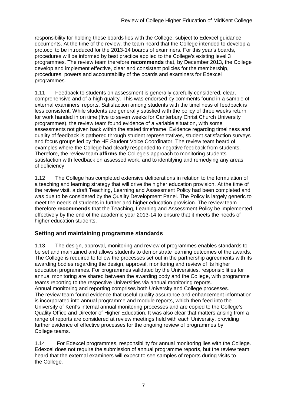responsibility for holding these boards lies with the College, subject to Edexcel guidance documents. At the time of the review, the team heard that the College intended to develop a protocol to be introduced for the 2013-14 boards of examiners. For this year's boards, procedures will be informed by best practice applied to the College's existing level 3 programmes. The review team therefore **recommends** that, by December 2013, the College develop and implement effective, clear and consistent policies for the membership, procedures, powers and accountability of the boards and examiners for Edexcel programmes.

1.11 Feedback to students on assessment is generally carefully considered, clear, comprehensive and of a high quality. This was endorsed by comments found in a sample of external examiners' reports. Satisfaction among students with the timeliness of feedback is less consistent. While students are generally satisfied with the policy of three weeks return for work handed in on time (five to seven weeks for Canterbury Christ Church University programmes), the review team found evidence of a variable situation, with some assessments not given back within the stated timeframe. Evidence regarding timeliness and quality of feedback is gathered through student representatives, student satisfaction surveys and focus groups led by the HE Student Voice Coordinator. The review team heard of examples where the College had clearly responded to negative feedback from students. Therefore, the review team **affirms** the College's approach to monitoring students' satisfaction with feedback on assessed work, and to identifying and remedying any areas of deficiency.

1.12 The College has completed extensive deliberations in relation to the formulation of a teaching and learning strategy that will drive the higher education provision. At the time of the review visit, a draft Teaching, Learning and Assessment Policy had been completed and was due to be considered by the Quality Development Panel. The Policy is largely generic to meet the needs of students in further and higher education provision. The review team therefore **recommends** that the Teaching, Learning and Assessment Policy be implemented effectively by the end of the academic year 2013-14 to ensure that it meets the needs of higher education students.

#### <span id="page-8-0"></span>**Setting and maintaining programme standards**

1.13 The design, approval, monitoring and review of programmes enables standards to be set and maintained and allows students to demonstrate learning outcomes of the awards. The College is required to follow the processes set out in the partnership agreements with its awarding bodies regarding the design, approval, monitoring and review of its higher education programmes. For programmes validated by the Universities, responsibilities for annual monitoring are shared between the awarding body and the College, with programme teams reporting to the respective Universities via annual monitoring reports. Annual monitoring and reporting comprises both University and College processes. The review team found evidence that useful quality assurance and enhancement information is incorporated into annual programme and module reports, which then feed into the University of Kent's internal annual monitoring processes and are copied to the College's Quality Office and Director of Higher Education. It was also clear that matters arising from a range of reports are considered at review meetings held with each University, providing further evidence of effective processes for the ongoing review of programmes by College teams.

1.14 For Edexcel programmes, responsibility for annual monitoring lies with the College. Edexcel does not require the submission of annual programme reports, but the review team heard that the external examiners will expect to see samples of reports during visits to the College.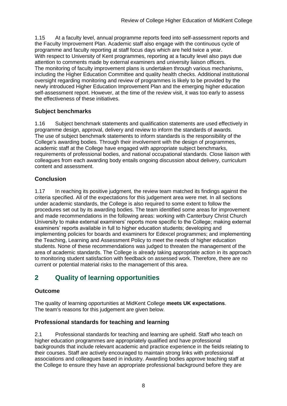1.15 At a faculty level, annual programme reports feed into self-assessment reports and the Faculty Improvement Plan. Academic staff also engage with the continuous cycle of programme and faculty reporting at staff focus days which are held twice a year. With respect to University of Kent programmes, reporting at a faculty level also pays due attention to comments made by external examiners and university liaison officers. The monitoring of faculty improvement plans is undertaken through various mechanisms, including the Higher Education Committee and quality health checks. Additional institutional oversight regarding monitoring and review of programmes is likely to be provided by the newly introduced Higher Education Improvement Plan and the emerging higher education self-assessment report. However, at the time of the review visit, it was too early to assess the effectiveness of these initiatives.

#### <span id="page-9-0"></span>**Subject benchmarks**

1.16 Subject benchmark statements and qualification statements are used effectively in programme design, approval, delivery and review to inform the standards of awards. The use of subject benchmark statements to inform standards is the responsibility of the College's awarding bodies. Through their involvement with the design of programmes, academic staff at the College have engaged with appropriate subject benchmarks, requirements of professional bodies, and national occupational standards. Close liaison with colleagues from each awarding body entails ongoing discussion about delivery, curriculum content and assessment.

#### **Conclusion**

1.17 In reaching its positive judgment, the review team matched its findings against the criteria specified. All of the expectations for this judgement area were met. In all sections under academic standards, the College is also required to some extent to follow the procedures set out by its awarding bodies. The team identified some areas for improvement and made recommendations in the following areas: working with Canterbury Christ Church University to make external examiners' reports more specific to the College; making external examiners' reports available in full to higher education students; developing and implementing policies for boards and examiners for Edexcel programmes; and implementing the Teaching, Learning and Assessment Policy to meet the needs of higher education students. None of these recommendations was judged to threaten the management of the area of academic standards. The College is already taking appropriate action in its approach to monitoring student satisfaction with feedback on assessed work. Therefore, there are no current or potential material risks to the management of this area.

## <span id="page-9-1"></span>**2 Quality of learning opportunities**

#### **Outcome**

The quality of learning opportunities at MidKent College **meets UK expectations**. The team's reasons for this judgement are given below.

#### <span id="page-9-2"></span>**Professional standards for teaching and learning**

2.1 Professional standards for teaching and learning are upheld. Staff who teach on higher education programmes are appropriately qualified and have professional backgrounds that include relevant academic and practice experience in the fields relating to their courses. Staff are actively encouraged to maintain strong links with professional associations and colleagues based in industry. Awarding bodies approve teaching staff at the College to ensure they have an appropriate professional background before they are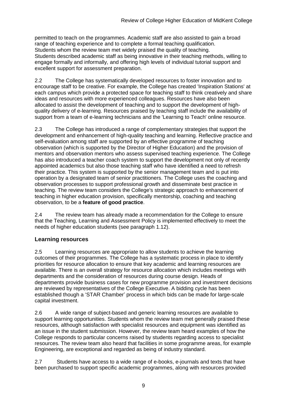permitted to teach on the programmes. Academic staff are also assisted to gain a broad range of teaching experience and to complete a formal teaching qualification. Students whom the review team met widely praised the quality of teaching. Students described academic staff as being innovative in their teaching methods, willing to engage formally and informally, and offering high levels of individual tutorial support and excellent support for assessment preparation.

2.2 The College has systematically developed resources to foster innovation and to encourage staff to be creative. For example, the College has created 'Inspiration Stations' at each campus which provide a protected space for teaching staff to think creatively and share ideas and resources with more experienced colleagues. Resources have also been allocated to assist the development of teaching and to support the development of highquality delivery of e-learning. Resources praised by teaching staff include the availability of support from a team of e-learning technicians and the 'Learning to Teach' online resource.

2.3 The College has introduced a range of complementary strategies that support the development and enhancement of high-quality teaching and learning. Reflective practice and self-evaluation among staff are supported by an effective programme of teaching observation (which is supported by the Director of Higher Education) and the provision of mentors and observation mentors who assess supervised teaching experience. The College has also introduced a teacher coach system to support the development not only of recently appointed academics but also those teaching staff who have identified a need to refresh their practice. This system is supported by the senior management team and is put into operation by a designated team of senior practitioners. The College uses the coaching and observation processes to support professional growth and disseminate best practice in teaching. The review team considers the College's strategic approach to enhancement of teaching in higher education provision, specifically mentorship, coaching and teaching observation, to be a **feature of good practice**.

2.4 The review team has already made a recommendation for the College to ensure that the Teaching, Learning and Assessment Policy is implemented effectively to meet the needs of higher education students (see paragraph 1.12).

#### <span id="page-10-0"></span>**Learning resources**

2.5 Learning resources are appropriate to allow students to achieve the learning outcomes of their programmes. The College has a systematic process in place to identify priorities for resource allocation to ensure that key academic and learning resources are available. There is an overall strategy for resource allocation which includes meetings with departments and the consideration of resources during course design. Heads of departments provide business cases for new programme provision and investment decisions are reviewed by representatives of the College Executive. A bidding cycle has been established though a 'STAR Chamber' process in which bids can be made for large-scale capital investment.

2.6 A wide range of subject-based and generic learning resources are available to support learning opportunities. Students whom the review team met generally praised these resources, although satisfaction with specialist resources and equipment was identified as an issue in the student submission. However, the review team heard examples of how the College responds to particular concerns raised by students regarding access to specialist resources. The review team also heard that facilities in some programme areas, for example Engineering, are exceptional and regarded as being of industry standard.

2.7 Students have access to a wide range of e-books, e-journals and texts that have been purchased to support specific academic programmes, along with resources provided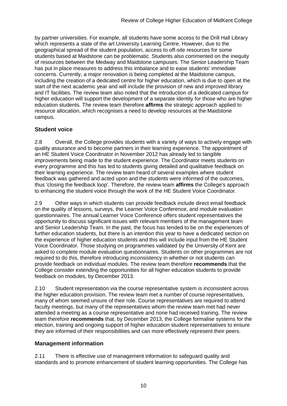by partner universities. For example, all students have some access to the Drill Hall Library which represents a state of the art University Learning Centre. However, due to the geographical spread of the student population, access to off-site resources for some students based at Maidstone can be problematic. Students also commented on the inequity of resources between the Medway and Maidstone campuses. The Senior Leadership Team has put in place measures to address this imbalance and to ease students' immediate concerns. Currently, a major renovation is being completed at the Maidstone campus, including the creation of a dedicated centre for higher education, which is due to open at the start of the next academic year and will include the provision of new and improved library and IT facilities. The review team also noted that the introduction of a dedicated campus for higher education will support the development of a separate identity for those who are higher education students. The review team therefore **affirms** the strategic approach applied to resource allocation, which recognises a need to develop resources at the Maidstone campus.

#### <span id="page-11-0"></span>**Student voice**

2.8 Overall, the College provides students with a variety of ways to actively engage with quality assurance and to become partners in their learning experience. The appointment of an HE Student Voice Coordinator in November 2012 has already led to tangible improvements being made to the student experience. The Coordinator meets students on every programme and this has led to students giving detailed and qualitative feedback on their learning experience. The review team heard of several examples where student feedback was gathered and acted upon and the students were informed of the outcomes, thus 'closing the feedback loop'. Therefore, the review team **affirms** the College's approach to enhancing the student voice through the work of the HE Student Voice Coordinator.

2.9 Other ways in which students can provide feedback include direct email feedback on the quality of lessons, surveys, the Learner Voice Conference, and module evaluation questionnaires. The annual Learner Voice Conference offers student representatives the opportunity to discuss significant issues with relevant members of the management team and Senior Leadership Team. In the past, the focus has tended to be on the experiences of further education students, but there is an intention this year to have a dedicated section on the experience of higher education students and this will include input from the HE Student Voice Coordinator. Those studying on programmes validated by the University of Kent are asked to complete module evaluation questionnaires. Students on other programmes are not required to do this, therefore introducing inconsistency in whether or not students can provide feedback on individual modules. The review team therefore **recommends** that the College consider extending the opportunities for all higher education students to provide feedback on modules, by December 2013.

2.10 Student representation via the course representative system is inconsistent across the higher education provision. The review team met a number of course representatives, many of whom seemed unsure of their role. Course representatives are required to attend faculty meetings, but many of the representatives whom the review team met had never attended a meeting as a course representative and none had received training. The review team therefore **recommends** that, by December 2013, the College formalise systems for the election, training and ongoing support of higher education student representatives to ensure they are informed of their responsibilities and can more effectively represent their peers.

#### <span id="page-11-1"></span>**Management information**

2.11 There is effective use of management information to safeguard quality and standards and to promote enhancement of student learning opportunities. The College has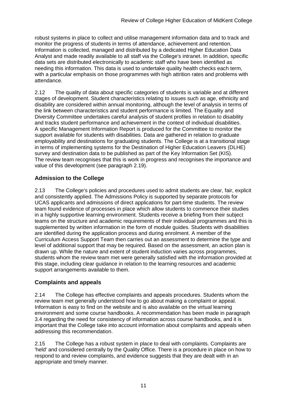robust systems in place to collect and utilise management information data and to track and monitor the progress of students in terms of attendance, achievement and retention. Information is collected, managed and distributed by a dedicated Higher Education Data Analyst and made readily available to all staff via the College's intranet. In addition, specific data sets are distributed electronically to academic staff who have been identified as needing this information. This data is used to undertake quality health checks each term, with a particular emphasis on those programmes with high attrition rates and problems with attendance.

2.12 The quality of data about specific categories of students is variable and at different stages of development. Student characteristics relating to issues such as age, ethnicity and disability are considered within annual monitoring, although the level of analysis in terms of the link between characteristics and student performance is limited. The Equality and Diversity Committee undertakes careful analysis of student profiles in relation to disability and tracks student performance and achievement in the context of individual disabilities. A specific Management Information Report is produced for the Committee to monitor the support available for students with disabilities. Data are gathered in relation to graduate employability and destinations for graduating students. The College is at a transitional stage in terms of implementing systems for the Destination of Higher Education Leavers (DLHE) survey and destination data to be published as part of the Key Information Set (KIS). The review team recognises that this is work in progress and recognises the importance and value of this development (see paragraph 2.19).

#### <span id="page-12-0"></span>**Admission to the College**

2.13 The College's policies and procedures used to admit students are clear, fair, explicit and consistently applied. The Admissions Policy is supported by separate protocols for UCAS applicants and admissions of direct applications for part-time students. The review team found evidence of processes in place which allow students to commence their studies in a highly supportive learning environment. Students receive a briefing from their subject teams on the structure and academic requirements of their individual programmes and this is supplemented by written information in the form of module guides. Students with disabilities are identified during the application process and during enrolment. A member of the Curriculum Access Support Team then carries out an assessment to determine the type and level of additional support that may be required. Based on the assessment, an action plan is drawn up. While the nature and extent of student induction varies across programmes, students whom the review team met were generally satisfied with the information provided at this stage, including clear guidance in relation to the learning resources and academic support arrangements available to them.

#### <span id="page-12-1"></span>**Complaints and appeals**

2.14 The College has effective complaints and appeals procedures. Students whom the review team met generally understood how to go about making a complaint or appeal. Information is easy to find on the website and is also available on the virtual learning environment and some course handbooks. A recommendation has been made in paragraph 3.4 regarding the need for consistency of information across course handbooks, and it is important that the College take into account information about complaints and appeals when addressing this recommendation.

2.15 The College has a robust system in place to deal with complaints. Complaints are 'held' and considered centrally by the Quality Office. There is a procedure in place on how to respond to and review complaints, and evidence suggests that they are dealt with in an appropriate and timely manner.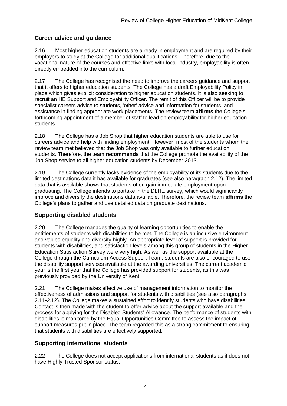#### <span id="page-13-0"></span>**Career advice and guidance**

2.16 Most higher education students are already in employment and are required by their employers to study at the College for additional qualifications. Therefore, due to the vocational nature of the courses and effective links with local industry, employability is often directly embedded into the curriculum.

2.17 The College has recognised the need to improve the careers guidance and support that it offers to higher education students. The College has a draft Employability Policy in place which gives explicit consideration to higher education students. It is also seeking to recruit an HE Support and Employability Officer. The remit of this Officer will be to provide specialist careers advice to students, 'other' advice and information for students, and assistance in finding appropriate work placements. The review team **affirms** the College's forthcoming appointment of a member of staff to lead on employability for higher education students.

2.18 The College has a Job Shop that higher education students are able to use for careers advice and help with finding employment. However, most of the students whom the review team met believed that the Job Shop was only available to further education students. Therefore, the team **recommends** that the College promote the availability of the Job Shop service to all higher education students by December 2013.

2.19 The College currently lacks evidence of the employability of its students due to the limited destinations data it has available for graduates (see also paragraph 2.12). The limited data that is available shows that students often gain immediate employment upon graduating. The College intends to partake in the DLHE survey, which would significantly improve and diversify the destinations data available. Therefore, the review team **affirms** the College's plans to gather and use detailed data on graduate destinations.

#### <span id="page-13-1"></span>**Supporting disabled students**

2.20 The College manages the quality of learning opportunities to enable the entitlements of students with disabilities to be met. The College is an inclusive environment and values equality and diversity highly. An appropriate level of support is provided for students with disabilities, and satisfaction levels among this group of students in the Higher Education Satisfaction Survey were very high. As well as the support available at the College through the Curriculum Access Support Team, students are also encouraged to use the disability support services available at the awarding universities. The current academic year is the first year that the College has provided support for students, as this was previously provided by the University of Kent.

2.21 The College makes effective use of management information to monitor the effectiveness of admissions and support for students with disabilities (see also paragraphs 2.11-2.12). The College makes a sustained effort to identify students who have disabilities. Contact is then made with the student to offer advice about the support available and the process for applying for the Disabled Students' Allowance. The performance of students with disabilities is monitored by the Equal Opportunities Committee to assess the impact of support measures put in place. The team regarded this as a strong commitment to ensuring that students with disabilities are effectively supported.

#### <span id="page-13-2"></span>**Supporting international students**

2.22 The College does not accept applications from international students as it does not have Highly Trusted Sponsor status.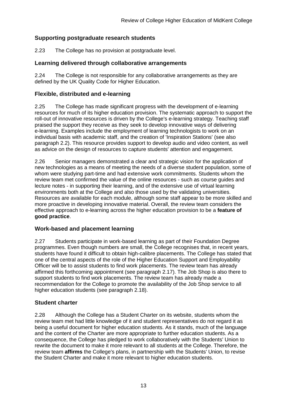#### <span id="page-14-0"></span>**Supporting postgraduate research students**

2.23 The College has no provision at postgraduate level.

#### <span id="page-14-1"></span>**Learning delivered through collaborative arrangements**

2.24 The College is not responsible for any collaborative arrangements as they are defined by the UK Quality Code for Higher Education.

#### <span id="page-14-2"></span>**Flexible, distributed and e-learning**

2.25 The College has made significant progress with the development of e-learning resources for much of its higher education provision. The systematic approach to support the roll-out of innovative resources is driven by the College's e-learning strategy. Teaching staff praised the support they receive as they seek to develop innovative ways of delivering e-learning. Examples include the employment of learning technologists to work on an individual basis with academic staff, and the creation of 'Inspiration Stations' (see also paragraph 2.2). This resource provides support to develop audio and video content, as well as advice on the design of resources to capture students' attention and engagement.

2.26 Senior managers demonstrated a clear and strategic vision for the application of new technologies as a means of meeting the needs of a diverse student population, some of whom were studying part-time and had extensive work commitments. Students whom the review team met confirmed the value of the online resources - such as course guides and lecture notes - in supporting their learning, and of the extensive use of virtual learning environments both at the College and also those used by the validating universities. Resources are available for each module, although some staff appear to be more skilled and more proactive in developing innovative material. Overall, the review team considers the effective approach to e-learning across the higher education provision to be a **feature of good practice**.

#### <span id="page-14-3"></span>**Work-based and placement learning**

2.27 Students participate in work-based learning as part of their Foundation Degree programmes. Even though numbers are small, the College recognises that, in recent years, students have found it difficult to obtain high-calibre placements. The College has stated that one of the central aspects of the role of the Higher Education Support and Employability Officer will be to assist students to find work placements. The review team has already affirmed this forthcoming appointment (see paragraph 2.17). The Job Shop is also there to support students to find work placements. The review team has already made a recommendation for the College to promote the availability of the Job Shop service to all higher education students (see paragraph 2.18).

#### <span id="page-14-4"></span>**Student charter**

2.28 Although the College has a Student Charter on its website, students whom the review team met had little knowledge of it and student representatives do not regard it as being a useful document for higher education students. As it stands, much of the language and the content of the Charter are more appropriate to further education students. As a consequence, the College has pledged to work collaboratively with the Students' Union to rewrite the document to make it more relevant to all students at the College. Therefore, the review team **affirms** the College's plans, in partnership with the Students' Union, to revise the Student Charter and make it more relevant to higher education students.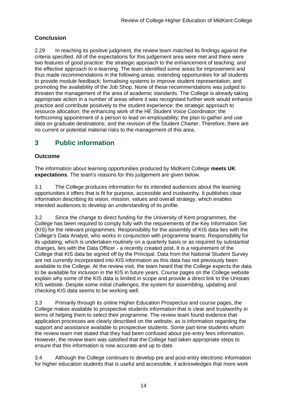### **Conclusion**

2.29 In reaching its positive judgment, the review team matched its findings against the criteria specified. All of the expectations for this judgement area were met and there were two features of good practice: the strategic approach to the enhancement of teaching; and the effective approach to e-learning. The team identified some areas for improvement and thus made recommendations in the following areas: extending opportunities for all students to provide module feedback; formalising systems to improve student representation; and promoting the availability of the Job Shop. None of these recommendations was judged to threaten the management of the area of academic standards. The College is already taking appropriate action in a number of areas where it was recognised further work would enhance practice and contribute positively to the student experience: the strategic approach to resource allocation; the enhancing work of the HE Student Voice Coordinator; the forthcoming appointment of a person to lead on employability; the plan to gather and use data on graduate destinations; and the revision of the Student Charter. Therefore, there are no current or potential material risks to the management of this area.

## <span id="page-15-0"></span>**3 Public information**

#### **Outcome**

The information about learning opportunities produced by MidKent College **meets UK expectations**. The team's reasons for this judgement are given below.

3.1 The College produces information for its intended audiences about the learning opportunities it offers that is fit for purpose, accessible and trustworthy. It publishes clear information describing its vision, mission, values and overall strategy, which enables intended audiences to develop an understanding of its profile.

3.2 Since the change to direct funding for the University of Kent programmes, the College has been required to comply fully with the requirements of the Key Information Set (KIS) for the relevant programmes. Responsibility for the assembly of KIS data lies with the College's Data Analyst, who works in conjunction with programme teams. Responsibility for its updating, which is undertaken routinely on a quarterly basis or as required by substantial changes, lies with the Data Officer - a recently created post. It is a requirement of the College that KIS data be signed off by the Principal. Data from the National Student Survey are not currently incorporated into KIS information as this data has not previously been available to the College. At the review visit, the team heard that the College expects the data to be available for inclusion in the KIS in future years. Course pages on the College website explain why some of the KIS data is limited in scope and provide a direct link to the Unistats KIS website. Despite some initial challenges, the system for assembling, updating and checking KIS data seems to be working well.

3.3 Primarily through its online Higher Education Prospectus and course pages, the College makes available to prospective students information that is clear and trustworthy in terms of helping them to select their programme. The review team found evidence that application processes are clearly described on the website, as is information regarding the support and assistance available to prospective students. Some part-time students whom the review team met stated that they had been confused about pre-entry fees information. However, the review team was satisfied that the College had taken appropriate steps to ensure that this information is now accurate and up to date.

3.4 Although the College continues to develop pre and post-entry electronic information for higher education students that is useful and accessible, it acknowledges that more work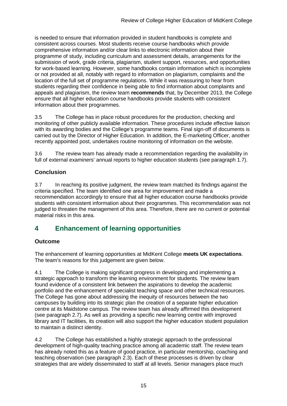is needed to ensure that information provided in student handbooks is complete and consistent across courses. Most students receive course handbooks which provide comprehensive information and/or clear links to electronic information about their programme of study, including curriculum and assessment details, arrangements for the submission of work, grade criteria, plagiarism, student support, resources, and opportunities for work-based learning. However, some handbooks contain information which is incomplete or not provided at all, notably with regard to information on plagiarism, complaints and the location of the full set of programme regulations. While it was reassuring to hear from students regarding their confidence in being able to find information about complaints and appeals and plagiarism, the review team **recommends** that, by December 2013, the College ensure that all higher education course handbooks provide students with consistent information about their programmes.

3.5 The College has in place robust procedures for the production, checking and monitoring of other publicly available information. These procedures include effective liaison with its awarding bodies and the College's programme teams. Final sign-off of documents is carried out by the Director of Higher Education. In addition, the E-marketing Officer, another recently appointed post, undertakes routine monitoring of information on the website.

3.6 The review team has already made a recommendation regarding the availability in full of external examiners' annual reports to higher education students (see paragraph 1.7).

#### **Conclusion**

3.7 In reaching its positive judgment, the review team matched its findings against the criteria specified. The team identified one area for improvement and made a recommendation accordingly to ensure that all higher education course handbooks provide students with consistent information about their programmes. This recommendation was not judged to threaten the management of this area. Therefore, there are no current or potential material risks in this area.

## <span id="page-16-0"></span>**4 Enhancement of learning opportunities**

#### **Outcome**

The enhancement of learning opportunities at MidKent College **meets UK expectations**. The team's reasons for this judgement are given below.

4.1 The College is making significant progress in developing and implementing a strategic approach to transform the learning environment for students. The review team found evidence of a consistent link between the aspirations to develop the academic portfolio and the enhancement of specialist teaching space and other technical resources. The College has gone about addressing the inequity of resources between the two campuses by building into its strategic plan the creation of a separate higher education centre at its Maidstone campus. The review team has already affirmed this development (see paragraph 2.7). As well as providing a specific new learning centre with improved library and IT facilities, its creation will also support the higher education student population to maintain a distinct identity.

4.2 The College has established a highly strategic approach to the professional development of high-quality teaching practice among all academic staff. The review team has already noted this as a feature of good practice, in particular mentorship, coaching and teaching observation (see paragraph 2.3). Each of these processes is driven by clear strategies that are widely disseminated to staff at all levels. Senior managers place much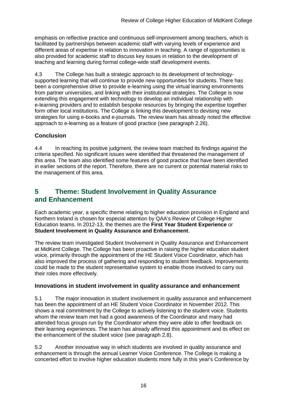emphasis on reflective practice and continuous self-improvement among teachers, which is facilitated by partnerships between academic staff with varying levels of experience and different areas of expertise in relation to innovation in teaching. A range of opportunities is also provided for academic staff to discuss key issues in relation to the development of teaching and learning during formal college-wide staff development events.

4.3 The College has built a strategic approach to its development of technologysupported learning that will continue to provide new opportunities for students. There has been a comprehensive drive to provide e-learning using the virtual learning environments from partner universities, and linking with their institutional strategies. The College is now extending this engagement with technology to develop an individual relationship with e-learning providers and to establish bespoke resources by bringing the expertise together form other local institutions. The College is linking this development to devising new strategies for using e-books and e-journals. The review team has already noted the effective approach to e-learning as a feature of good practice (see paragraph 2.26).

#### **Conclusion**

4.4 In reaching its positive judgment, the review team matched its findings against the criteria specified. No significant issues were identified that threatened the management of this area. The team also identified some features of good practice that have been identified in earlier sections of the report. Therefore, there are no current or potential material risks to the management of this area.

### <span id="page-17-0"></span>**5 Theme: Student Involvement in Quality Assurance and Enhancement**

Each academic year, a specific theme relating to higher education provision in England and Northern Ireland is chosen for especial attention by QAA's Review of College Higher Education teams. In 2012-13, the themes are the **First Year Student Experience** or **Student Involvement in Quality Assurance and Enhancement**.

The review team investigated Student Involvement in Quality Assurance and Enhancement at MidKent College. The College has been proactive in raising the higher education student voice, primarily through the appointment of the HE Student Voice Coordinator, which has also improved the process of gathering and responding to student feedback. Improvements could be made to the student representative system to enable those involved to carry out their roles more effectively.

#### <span id="page-17-1"></span>**Innovations in student involvement in quality assurance and enhancement**

5.1 The major innovation in student involvement in quality assurance and enhancement has been the appointment of an HE Student Voice Coordinator in November 2012. This shows a real commitment by the College to actively listening to the student voice. Students whom the review team met had a good awareness of the Coordinator and many had attended focus groups run by the Coordinator where they were able to offer feedback on their learning experiences. The team has already affirmed this appointment and its effect on the enhancement of the student voice (see paragraph 2.8).

5.2 Another innovative way in which students are involved in quality assurance and enhancement is through the annual Learner Voice Conference. The College is making a concerted effort to involve higher education students more fully in this year's Conference by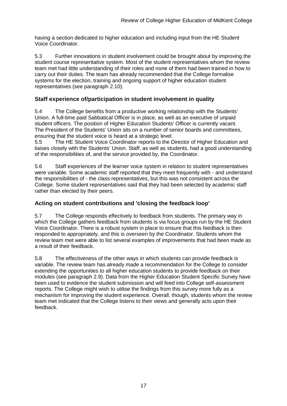having a section dedicated to higher education and including input from the HE Student Voice Coordinator.

5.3 Further innovations in student involvement could be brought about by improving the student course representative system. Most of the student representatives whom the review team met had little understanding of their roles and none of them had been trained in how to carry out their duties. The team has already recommended that the College formalise systems for the election, training and ongoing support of higher education student representatives (see paragraph 2.10).

#### <span id="page-18-0"></span>**Staff experience of/participation in student involvement in quality**

5.4 The College benefits from a productive working relationship with the Students' Union. A full-time paid Sabbatical Officer is in place, as well as an executive of unpaid student officers. The position of Higher Education Students' Officer is currently vacant. The President of the Students' Union sits on a number of senior boards and committees, ensuring that the student voice is heard at a strategic level.

5.5 The HE Student Voice Coordinator reports to the Director of Higher Education and liaises closely with the Students' Union. Staff, as well as students, had a good understanding of the responsibilities of, and the service provided by, the Coordinator.

5.6 Staff experiences of the learner voice system in relation to student representatives were variable. Some academic staff reported that they meet frequently with - and understand the responsibilities of - the class representatives, but this was not consistent across the College. Some student representatives said that they had been selected by academic staff rather than elected by their peers.

#### <span id="page-18-1"></span>**Acting on student contributions and 'closing the feedback loop'**

5.7 The College responds effectively to feedback from students. The primary way in which the College gathers feedback from students is via focus groups run by the HE Student Voice Coordinator. There is a robust system in place to ensure that this feedback is then responded to appropriately, and this is overseen by the Coordinator. Students whom the review team met were able to list several examples of improvements that had been made as a result of their feedback.

<span id="page-18-2"></span>5.8 The effectiveness of the other ways in which students can provide feedback is variable. The review team has already made a recommendation for the College to consider extending the opportunities to all higher education students to provide feedback on their modules (see paragraph 2.9). Data from the Higher Education Student Specific Survey have been used to evidence the student submission and will feed into College self-assessment reports. The College might wish to utilise the findings from this survey more fully as a mechanism for improving the student experience. Overall, though, students whom the review team met indicated that the College listens to their views and generally acts upon their feedback.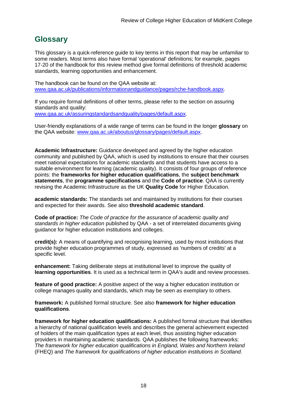## <span id="page-19-0"></span>**Glossary**

This glossary is a quick-reference guide to key terms in this report that may be unfamiliar to some readers. Most terms also have formal 'operational' definitions; for example, pages 17-20 of the handbook for this review method give formal definitions of threshold academic standards, learning opportunities and enhancement.

The handbook can be found on the QAA website at: [www.qaa.ac.uk/publications/informationandguidance/pages/rche-handbook.aspx.](http://www.qaa.ac.uk/Publications/InformationAndGuidance/Pages/RCHE-handbook.aspx)

If you require formal definitions of other terms, please refer to the section on assuring standards and quality: [www.qaa.ac.uk/assuringstandardsandquality/pages/default.aspx.](http://www.qaa.ac.uk/assuringstandardsandquality/pages/default.aspx)

User-friendly explanations of a wide range of terms can be found in the longer **glossary** on the QAA website: [www.qaa.ac.uk/aboutus/glossary/pages/default.aspx.](http://www.qaa.ac.uk/aboutus/glossary/pages/default.aspx)

**Academic Infrastructure:** Guidance developed and agreed by the higher education community and published by QAA, which is used by institutions to ensure that their courses meet national expectations for academic standards and that students have access to a suitable environment for learning (academic quality). It consists of four groups of reference points: the **frameworks for higher education qualifications**, the **subject benchmark statements**, the **programme specifications** and the **[Code of practice](http://www.qaa.ac.uk/AboutUs/glossary/Pages/glossary-c.aspx#c2)**. QAA is currently revising the Academic Infrastructure as the UK **[Quality Code](http://www.qaa.ac.uk/AboutUs/glossary/Pages/glossary-q.aspx#q5)** for Higher Education.

**academic standards:** The standards set and maintained by institutions for their courses and expected for their awards. See also **threshold academic standard**.

**Code of practice:** *The Code of practice for the assurance of academic quality and standards in higher education* published by QAA - a set of interrelated documents giving guidance for higher education institutions and colleges.

**credit(s):** A means of quantifying and recognising learning, used by most institutions that provide higher education programmes of study, expressed as 'numbers of credits' at a specific level.

**enhancement:** Taking deliberate steps at institutional level to improve the quality of **[learning opportunities](http://www.qaa.ac.uk/aboutus/glossary/pages/glossary-l.aspx#l1)**. It is used as a technical term in QAA's audit and review processes.

**feature of good practice:** A positive aspect of the way a higher education institution or college manages quality and standards, which may be seen as exemplary to others.

**framework:** A published formal structure. See also **framework for higher education qualifications**.

**framework for higher education qualifications:** A published formal structure that identifies a hierarchy of national qualification levels and describes the general achievement expected of holders of the main qualification types at each level, thus assisting higher education providers in maintaining academic standards. QAA publishes the following frameworks: *The framework for higher education qualifications in England, Wales and Northern Ireland* (FHEQ) and *The framework for qualifications of higher education institutions in Scotland*.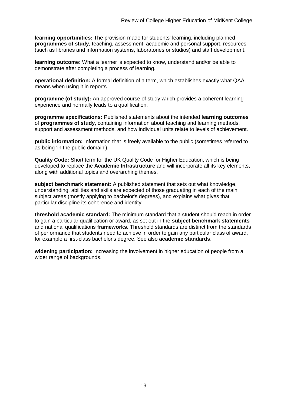**learning opportunities:** The provision made for students' learning, including planned **[programmes](http://newlive.qaa.ac.uk/aboutus/glossary/pages/glossary-p.aspx#p12) of study**, teaching, assessment, academic and personal support, resources (such as libraries and information systems, laboratories or studios) and staff development.

**learning outcome:** What a learner is expected to know, understand and/or be able to demonstrate after completing a process of learning.

**operational definition:** A formal definition of a term, which establishes exactly what QAA means when using it in reports.

**programme (of study):** An approved course of study which provides a coherent learning experience and normally leads to a qualification.

**programme specifications:** Published statements about the intended **[learning outcomes](http://newlive.qaa.ac.uk/aboutus/glossary/pages/glossary-l.aspx#l2)** of **programmes of study**, containing information about teaching and learning methods, support and assessment methods, and how individual units relate to levels of achievement.

**public information:** Information that is freely available to the public (sometimes referred to as being 'in the public domain').

**Quality Code:** Short term for the UK Quality Code for Higher Education, which is being developed to replace the **[Academic Infrastructure](http://newlive.qaa.ac.uk/aboutus/glossary/pages/glossary-a.aspx#a1)** and will incorporate all its key elements, along with additional topics and overarching themes.

**subject benchmark statement:** A published statement that sets out what knowledge, understanding, abilities and skills are expected of those graduating in each of the main subject areas (mostly applying to [bachelor's degrees\)](http://newlive.qaa.ac.uk/aboutus/glossary/pages/glossary-b/aspx#b1), and explains what gives that particular discipline its coherence and identity.

**threshold academic standard:** The minimum standard that a student should reach in order to gain a particular qualification or award, as set out in the **[subject benchmark statements](http://newlive.qaa.ac.uk/aboutus/glossary/pages/glossary-s.aspx#s7)** and national [qualifications](http://newlive.qaa.ac.uk/aboutus/glossary/pages/glossary-q.aspx#q3) **frameworks**. Threshold standards are distinct from the standards of performance that students need to achieve in order to gain any particular class of award, for example a first-class bachelor's degree. See also **[academic standards](http://newlive.qaa.ac.uk/aboutus/glossary/pages/glossary-a.aspx#a3)**.

**widening participation:** Increasing the involvement in higher education of people from a wider range of backgrounds.